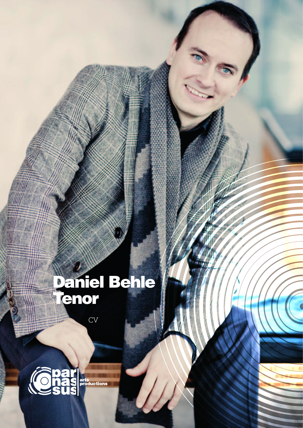## Daniel Behle<br>Tenor

 $\overline{\text{CV}}$ 

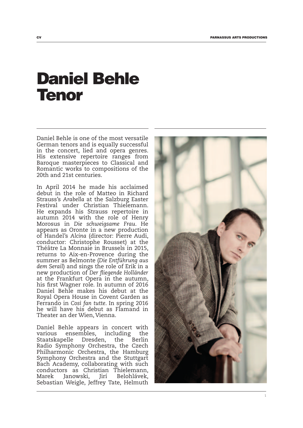## Daniel Behle Tenor

Daniel Behle is one of the most versatile German tenors and is equally successful in the concert, lied and opera genres. His extensive repertoire ranges from Baroque masterpieces to Classical and Romantic works to compositions of the 20th and 21st centuries.

In April 2014 he made his acclaimed debut in the role of Matteo in Richard Strauss's *Arabella* at the Salzburg Easter Festival under Christian Thielemann. He expands his Strauss repertoire in autumn 2014 with the role of Henry Morosus in *Die schweigsame Frau*. He appears as Oronte in a new production of Handel's *Alcina* (director: Pierre Audi, conductor: Christophe Rousset) at the Théâtre La Monnaie in Brussels in 2015, returns to Aix-en-Provence during the summer as Belmonte (*Die Entführung aus dem Serail*) and sings the role of Erik in a new production of *Der fliegende Holländer*  at the Frankfurt Opera in the autumn, his first Wagner role. In autumn of 2016 Daniel Behle makes his debut at the Royal Opera House in Covent Garden as Ferrando in *Così fan tutte*. In spring 2016 he will have his debut as Flamand in Theater an der Wien, Vienna.

Daniel Behle appears in concert with various ensembles, including the Staatskapelle Dresden, the Berlin Radio Symphony Orchestra, the Czech Philharmonic Orchestra, the Hamburg Symphony Orchestra and the Stuttgart Bach Academy, collaborating with such conductors as Christian Thielemann, Marek Janowski, Jirí Belohlávek, Sebastian Weigle, Jeffrey Tate, Helmuth